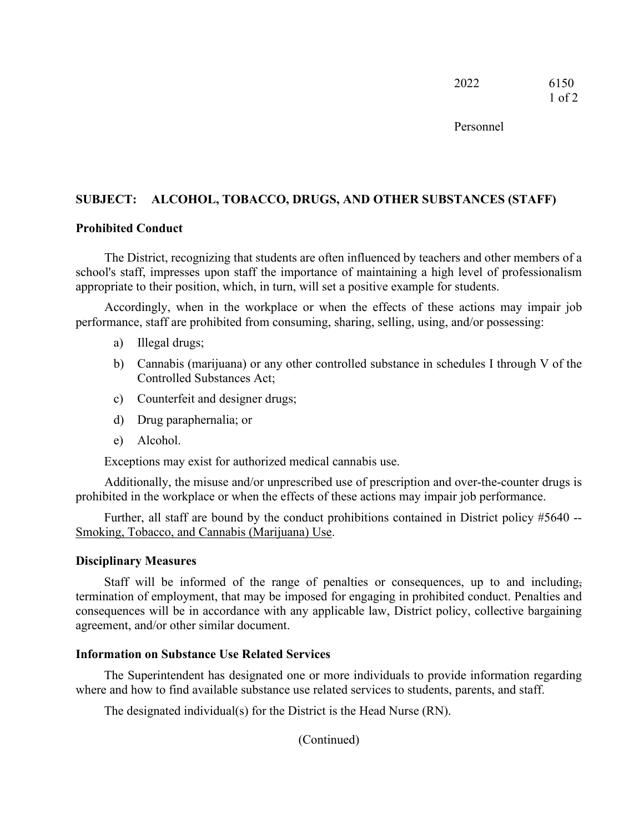Personnel

# **SUBJECT: ALCOHOL, TOBACCO, DRUGS, AND OTHER SUBSTANCES (STAFF)**

#### **Prohibited Conduct**

The District, recognizing that students are often influenced by teachers and other members of a school's staff, impresses upon staff the importance of maintaining a high level of professionalism appropriate to their position, which, in turn, will set a positive example for students.

Accordingly, when in the workplace or when the effects of these actions may impair job performance, staff are prohibited from consuming, sharing, selling, using, and/or possessing:

- a) Illegal drugs;
- b) Cannabis (marijuana) or any other controlled substance in schedules I through V of the Controlled Substances Act;
- c) Counterfeit and designer drugs;
- d) Drug paraphernalia; or
- e) Alcohol.

Exceptions may exist for authorized medical cannabis use.

Additionally, the misuse and/or unprescribed use of prescription and over-the-counter drugs is prohibited in the workplace or when the effects of these actions may impair job performance.

Further, all staff are bound by the conduct prohibitions contained in District policy #5640 -- Smoking, Tobacco, and Cannabis (Marijuana) Use.

### **Disciplinary Measures**

Staff will be informed of the range of penalties or consequences, up to and including, termination of employment, that may be imposed for engaging in prohibited conduct. Penalties and consequences will be in accordance with any applicable law, District policy, collective bargaining agreement, and/or other similar document.

### **Information on Substance Use Related Services**

The Superintendent has designated one or more individuals to provide information regarding where and how to find available substance use related services to students, parents, and staff.

The designated individual(s) for the District is the Head Nurse (RN).

(Continued)